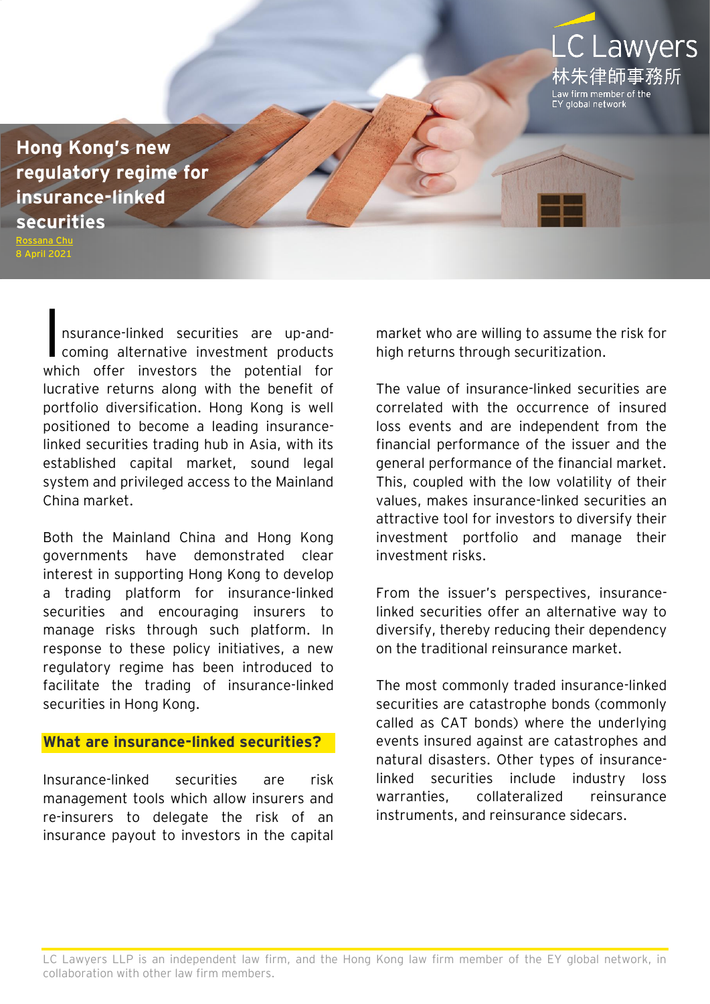**[Hong Kong's new](https://www.eylaw.com.hk/en_hk/publications/our-latest-thinking/2021/apr/hong-kong-s-new-regulatory-regime-for-insurance-linked-securities)  [regulatory regime for](https://www.eylaw.com.hk/en_hk/publications/our-latest-thinking/2021/apr/hong-kong-s-new-regulatory-regime-for-insurance-linked-securities)  [insurance-linked](https://www.eylaw.com.hk/en_hk/publications/our-latest-thinking/2021/apr/hong-kong-s-new-regulatory-regime-for-insurance-linked-securities)  [securities](https://www.eylaw.com.hk/en_hk/publications/our-latest-thinking/2021/apr/hong-kong-s-new-regulatory-regime-for-insurance-linked-securities)**

[Rossana Chu](https://www.eylaw.com.hk/en_hk/people/rossana-chu) 8 April 2021

> nsurance-linked securities are up-andcoming alternative investment products which offer investors the potential for lucrative returns along with the benefit of portfolio diversification. Hong Kong is well positioned to become a leading insurancelinked securities trading hub in Asia, with its established capital market, sound legal system and privileged access to the Mainland China market.  $\overline{\mathbf{I}}$

> Both the Mainland China and Hong Kong governments have demonstrated clear interest in supporting Hong Kong to develop a trading platform for insurance-linked securities and encouraging insurers to manage risks through such platform. In response to these policy initiatives, a new regulatory regime has been introduced to facilitate the trading of insurance-linked securities in Hong Kong.

### **What are insurance-linked securities?**

Insurance-linked securities are risk management tools which allow insurers and re-insurers to delegate the risk of an insurance payout to investors in the capital market who are willing to assume the risk for high returns through securitization.

**CLawyers** 

朱律師事務所

v firm member of the alobal network

The value of insurance-linked securities are correlated with the occurrence of insured loss events and are independent from the financial performance of the issuer and the general performance of the financial market. This, coupled with the low volatility of their values, makes insurance-linked securities an attractive tool for investors to diversify their investment portfolio and manage their investment risks.

From the issuer's perspectives, insurancelinked securities offer an alternative way to diversify, thereby reducing their dependency on the traditional reinsurance market.

The most commonly traded insurance-linked securities are catastrophe bonds (commonly called as CAT bonds) where the underlying events insured against are catastrophes and natural disasters. Other types of insurancelinked securities include industry loss warranties, collateralized reinsurance instruments, and reinsurance sidecars.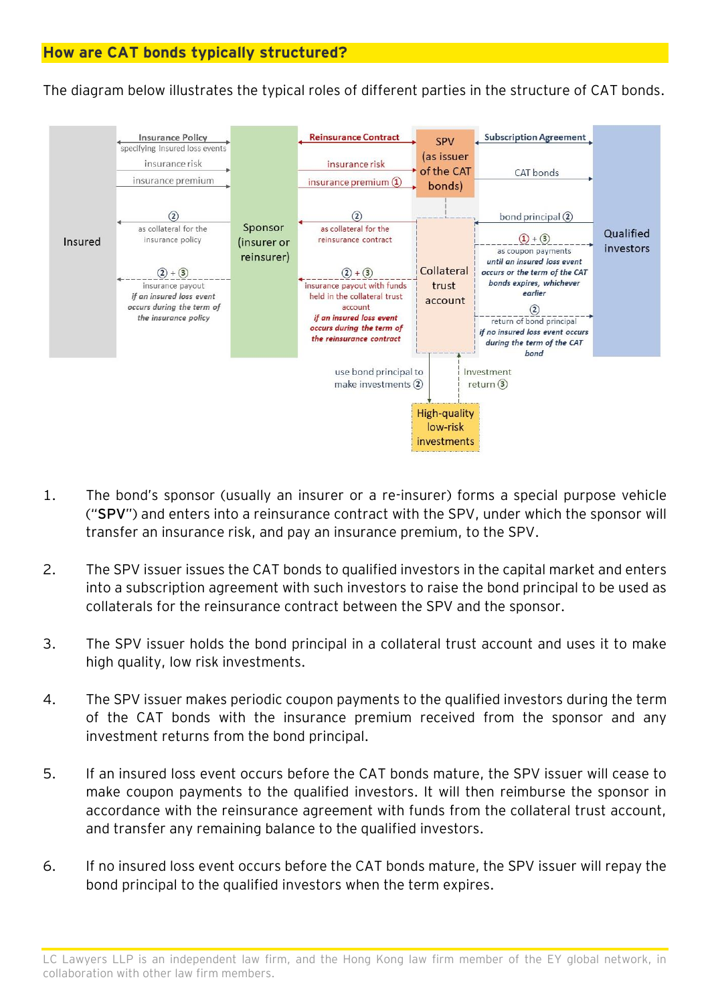The diagram below illustrates the typical roles of different parties in the structure of CAT bonds.



- 1. The bond's sponsor (usually an insurer or a re-insurer) forms a special purpose vehicle ("**SPV**") and enters into a reinsurance contract with the SPV, under which the sponsor will transfer an insurance risk, and pay an insurance premium, to the SPV.
- 2. The SPV issuer issues the CAT bonds to qualified investors in the capital market and enters into a subscription agreement with such investors to raise the bond principal to be used as collaterals for the reinsurance contract between the SPV and the sponsor.
- 3. The SPV issuer holds the bond principal in a collateral trust account and uses it to make high quality, low risk investments.
- 4. The SPV issuer makes periodic coupon payments to the qualified investors during the term of the CAT bonds with the insurance premium received from the sponsor and any investment returns from the bond principal.
- 5. If an insured loss event occurs before the CAT bonds mature, the SPV issuer will cease to make coupon payments to the qualified investors. It will then reimburse the sponsor in accordance with the reinsurance agreement with funds from the collateral trust account, and transfer any remaining balance to the qualified investors.
- 6. If no insured loss event occurs before the CAT bonds mature, the SPV issuer will repay the bond principal to the qualified investors when the term expires.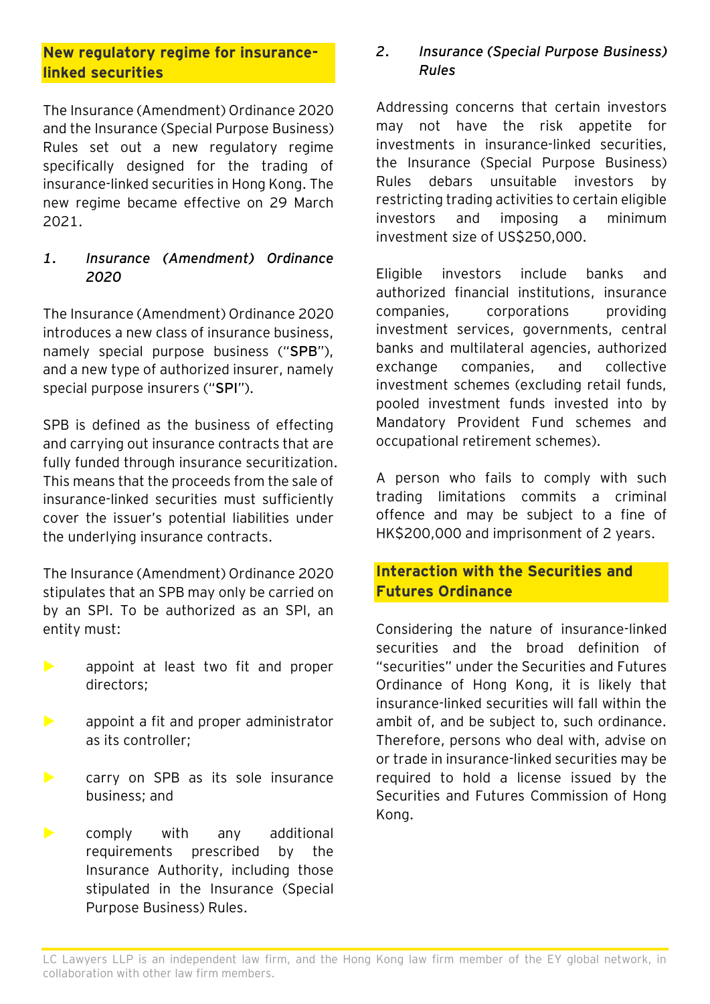# **New regulatory regime for insurancelinked securities**

The Insurance (Amendment) Ordinance 2020 and the Insurance (Special Purpose Business) Rules set out a new regulatory regime specifically designed for the trading of insurance-linked securities in Hong Kong. The new regime became effective on 29 March 2021.

## *1. Insurance (Amendment) Ordinance 2020*

The Insurance (Amendment) Ordinance 2020 introduces a new class of insurance business, namely special purpose business ("**SPB**"), and a new type of authorized insurer, namely special purpose insurers ("**SPI**").

SPB is defined as the business of effecting and carrying out insurance contracts that are fully funded through insurance securitization. This means that the proceeds from the sale of insurance-linked securities must sufficiently cover the issuer's potential liabilities under the underlying insurance contracts.

The Insurance (Amendment) Ordinance 2020 stipulates that an SPB may only be carried on by an SPI. To be authorized as an SPI, an entity must:

- **De appoint at least two fit and proper** directors;
- **EXECUTE:** Appoint a fit and proper administrator as its controller;
- **EXECUTE:** Carry on SPB as its sole insurance business; and
- **Example 12** comply with any additional requirements prescribed by the Insurance Authority, including those stipulated in the Insurance (Special Purpose Business) Rules.

## *2. Insurance (Special Purpose Business) Rules*

Addressing concerns that certain investors may not have the risk appetite for investments in insurance-linked securities, the Insurance (Special Purpose Business) Rules debars unsuitable investors by restricting trading activities to certain eligible investors and imposing a minimum investment size of US\$250,000.

Eligible investors include banks and authorized financial institutions, insurance companies, corporations providing investment services, governments, central banks and multilateral agencies, authorized exchange companies, and collective investment schemes (excluding retail funds, pooled investment funds invested into by Mandatory Provident Fund schemes and occupational retirement schemes).

A person who fails to comply with such trading limitations commits a criminal offence and may be subject to a fine of HK\$200,000 and imprisonment of 2 years.

# **Interaction with the Securities and Futures Ordinance**

Considering the nature of insurance-linked securities and the broad definition of "securities" under the Securities and Futures Ordinance of Hong Kong, it is likely that insurance-linked securities will fall within the ambit of, and be subject to, such ordinance. Therefore, persons who deal with, advise on or trade in insurance-linked securities may be required to hold a license issued by the Securities and Futures Commission of Hong Kong.

LC Lawyers LLP is an independent law firm, and the Hong Kong law firm member of the EY global network, in collaboration with other law firm members.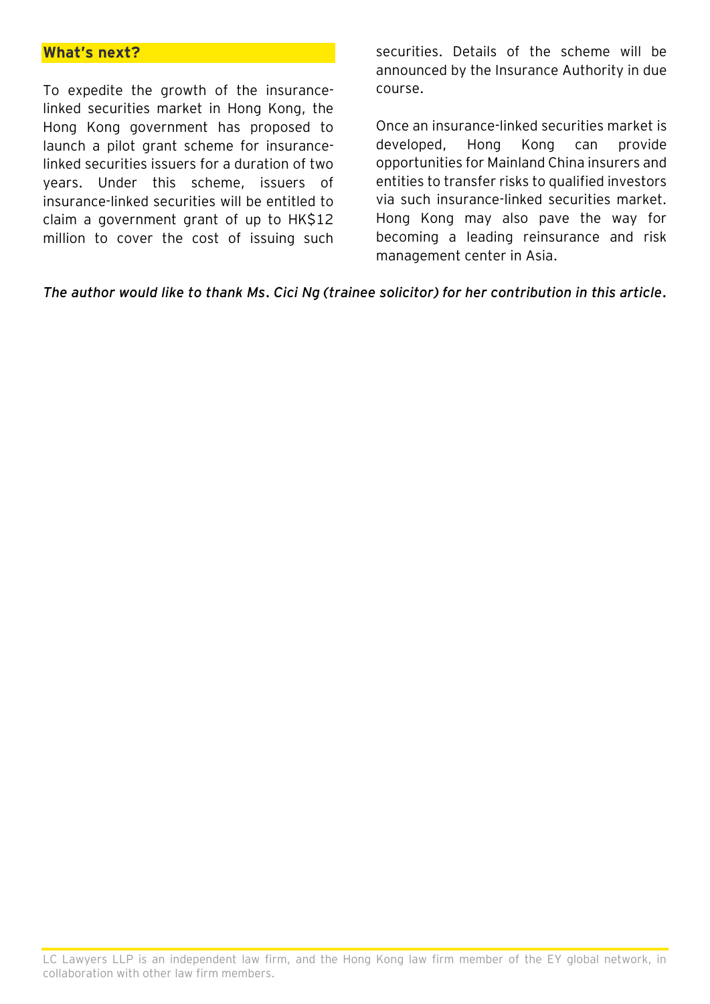#### **What's next?**

To expedite the growth of the insurancelinked securities market in Hong Kong, the Hong Kong government has proposed to launch a pilot grant scheme for insurancelinked securities issuers for a duration of two years. Under this scheme, issuers of insurance-linked securities will be entitled to claim a government grant of up to HK\$12 million to cover the cost of issuing such

securities. Details of the scheme will be announced by the Insurance Authority in due course.

Once an insurance-linked securities market is developed, Hong Kong can provide opportunities for Mainland China insurers and entities to transfer risks to qualified investors via such insurance-linked securities market. Hong Kong may also pave the way for becoming a leading reinsurance and risk management center in Asia.

*The author would like to thank Ms. Cici Ng (trainee solicitor) for her contribution in this article.*

LC Lawyers LLP is an independent law firm, and the Hong Kong law firm member of the EY global network, in collaboration with other law firm members.